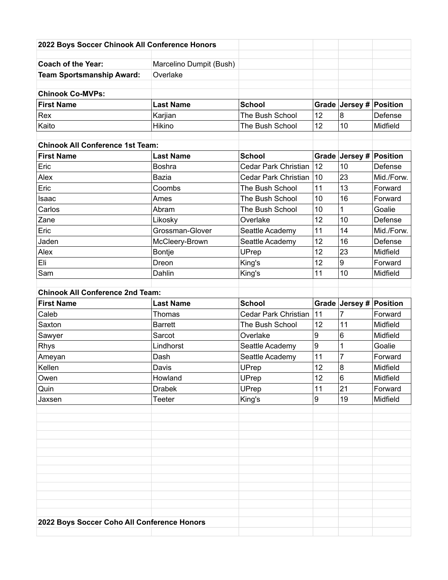| 2022 Boys Soccer Chinook All Conference Honors |                         |                             |                  |                         |            |
|------------------------------------------------|-------------------------|-----------------------------|------------------|-------------------------|------------|
| <b>Coach of the Year:</b>                      | Marcelino Dumpit (Bush) |                             |                  |                         |            |
| <b>Team Sportsmanship Award:</b>               | Overlake                |                             |                  |                         |            |
| <b>Chinook Co-MVPs:</b>                        |                         |                             |                  |                         |            |
| <b>First Name</b>                              | <b>Last Name</b>        | <b>School</b>               |                  | Grade Jersey # Position |            |
| Rex                                            | Karjian                 | The Bush School             | 12               | 8                       | Defense    |
| Kaito                                          | Hikino                  | The Bush School             | 12               | 10                      | Midfield   |
|                                                |                         |                             |                  |                         |            |
| <b>Chinook All Conference 1st Team:</b>        |                         |                             |                  |                         |            |
| <b>First Name</b>                              | <b>Last Name</b>        | <b>School</b>               |                  | Grade Jersey #          | Position   |
| Eric                                           | <b>Boshra</b>           | <b>Cedar Park Christian</b> | 12               | 10                      | Defense    |
| Alex                                           | <b>Bazia</b>            | Cedar Park Christian        | 10               | 23                      | Mid./Forw. |
| Eric                                           | Coombs                  | The Bush School             | 11               | 13                      | Forward    |
| Isaac                                          | Ames                    | The Bush School             | 10               | 16                      | Forward    |
| Carlos                                         | Abram                   | The Bush School             | 10               | 1                       | Goalie     |
| Zane                                           | Likosky                 | Overlake                    | 12               | 10                      | Defense    |
| Eric                                           | Grossman-Glover         | Seattle Academy             | 11               | 14                      | Mid./Forw. |
| Jaden                                          | McCleery-Brown          | Seattle Academy             | 12               | 16                      | Defense    |
| Alex                                           | Bontje                  | UPrep                       | 12               | 23                      | Midfield   |
| Eli                                            | Dreon                   | King's                      | 12               | 9                       | Forward    |
| Sam                                            | Dahlin                  | King's                      | 11               | 10                      | Midfield   |
|                                                |                         |                             |                  |                         |            |
| <b>Chinook All Conference 2nd Team:</b>        |                         |                             |                  |                         |            |
| <b>First Name</b>                              | <b>Last Name</b>        | <b>School</b>               |                  | Grade Jersey #          | Position   |
| Caleb                                          | Thomas                  | <b>Cedar Park Christian</b> | 11               | 7                       | Forward    |
| Saxton                                         | <b>Barrett</b>          | The Bush School             | 12               | 11                      | Midfield   |
| Sawyer                                         | Sarcot                  | Overlake                    | $\boldsymbol{9}$ | 6                       | Midfield   |
| Rhys                                           | Lindhorst               | Seattle Academy             | 9                | 1                       | Goalie     |
| Ameyan                                         | Dash                    | Seattle Academy             | 11               | 7                       | Forward    |
| Kellen                                         | Davis                   | UPrep                       | 12               | 8                       | Midfield   |
| Owen                                           | Howland                 | UPrep                       | 12               | 6                       | Midfield   |
| Quin                                           | <b>Drabek</b>           | UPrep                       | 11               | 21                      | Forward    |
| Jaxsen                                         | Teeter                  | King's                      | $\boldsymbol{9}$ | 19                      | Midfield   |
|                                                |                         |                             |                  |                         |            |
|                                                |                         |                             |                  |                         |            |
|                                                |                         |                             |                  |                         |            |
|                                                |                         |                             |                  |                         |            |
|                                                |                         |                             |                  |                         |            |
|                                                |                         |                             |                  |                         |            |
|                                                |                         |                             |                  |                         |            |
|                                                |                         |                             |                  |                         |            |
|                                                |                         |                             |                  |                         |            |
|                                                |                         |                             |                  |                         |            |
|                                                |                         |                             |                  |                         |            |
| 2022 Boys Soccer Coho All Conference Honors    |                         |                             |                  |                         |            |